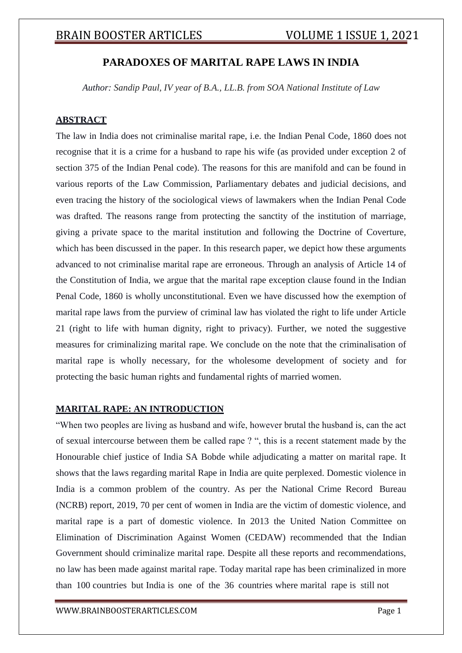## **PARADOXES OF MARITAL RAPE LAWS IN INDIA**

*Author: Sandip Paul, IV year of B.A., LL.B. from SOA National Institute of Law*

### **ABSTRACT**

The law in India does not criminalise marital rape, i.e. the Indian Penal Code, 1860 does not recognise that it is a crime for a husband to rape his wife (as provided under exception 2 of section 375 of the Indian Penal code). The reasons for this are manifold and can be found in various reports of the Law Commission, Parliamentary debates and judicial decisions, and even tracing the history of the sociological views of lawmakers when the Indian Penal Code was drafted. The reasons range from protecting the sanctity of the institution of marriage, giving a private space to the marital institution and following the Doctrine of Coverture, which has been discussed in the paper. In this research paper, we depict how these arguments advanced to not criminalise marital rape are erroneous. Through an analysis of Article 14 of the Constitution of India, we argue that the marital rape exception clause found in the Indian Penal Code, 1860 is wholly unconstitutional. Even we have discussed how the exemption of marital rape laws from the purview of criminal law has violated the right to life under Article 21 (right to life with human dignity, right to privacy). Further, we noted the suggestive measures for criminalizing marital rape. We conclude on the note that the criminalisation of marital rape is wholly necessary, for the wholesome development of society and for protecting the basic human rights and fundamental rights of married women.

### **MARITAL RAPE: AN INTRODUCTION**

"When two peoples are living as husband and wife, however brutal the husband is, can the act of sexual intercourse between them be called rape ? ", this is a recent statement made by the Honourable chief justice of India SA Bobde while adjudicating a matter on marital rape. It shows that the laws regarding marital Rape in India are quite perplexed. Domestic violence in India is a common problem of the country. As per the National Crime Record Bureau (NCRB) report, 2019, 70 per cent of women in India are the victim of domestic violence, and marital rape is a part of domestic violence. In 2013 the United Nation Committee on Elimination of Discrimination Against Women (CEDAW) recommended that the Indian Government should criminalize marital rape. Despite all these reports and recommendations, no law has been made against marital rape. Today marital rape has been criminalized in more than 100 countries but India is one of the 36 countries where marital rape is still not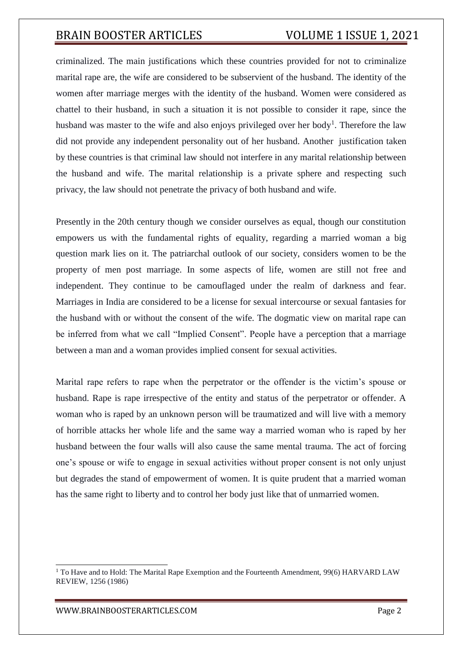criminalized. The main justifications which these countries provided for not to criminalize marital rape are, the wife are considered to be subservient of the husband. The identity of the women after marriage merges with the identity of the husband. Women were considered as chattel to their husband, in such a situation it is not possible to consider it rape, since the husband was master to the wife and also enjoys privileged over her body<sup>1</sup>. Therefore the law did not provide any independent personality out of her husband. Another justification taken by these countries is that criminal law should not interfere in any marital relationship between the husband and wife. The marital relationship is a private sphere and respecting such privacy, the law should not penetrate the privacy of both husband and wife.

Presently in the 20th century though we consider ourselves as equal, though our constitution empowers us with the fundamental rights of equality, regarding a married woman a big question mark lies on it. The patriarchal outlook of our society, considers women to be the property of men post marriage. In some aspects of life, women are still not free and independent. They continue to be camouflaged under the realm of darkness and fear. Marriages in India are considered to be a license for sexual intercourse or sexual fantasies for the husband with or without the consent of the wife. The dogmatic view on marital rape can be inferred from what we call "Implied Consent". People have a perception that a marriage between a man and a woman provides implied consent for sexual activities.

Marital rape refers to rape when the perpetrator or the offender is the victim's spouse or husband. Rape is rape irrespective of the entity and status of the perpetrator or offender. A woman who is raped by an unknown person will be traumatized and will live with a memory of horrible attacks her whole life and the same way a married woman who is raped by her husband between the four walls will also cause the same mental trauma. The act of forcing one's spouse or wife to engage in sexual activities without proper consent is not only unjust but degrades the stand of empowerment of women. It is quite prudent that a married woman has the same right to liberty and to control her body just like that of unmarried women.

<sup>&</sup>lt;sup>1</sup> To Have and to Hold: The Marital Rape Exemption and the Fourteenth Amendment, 99(6) HARVARD LAW REVIEW, 1256 (1986)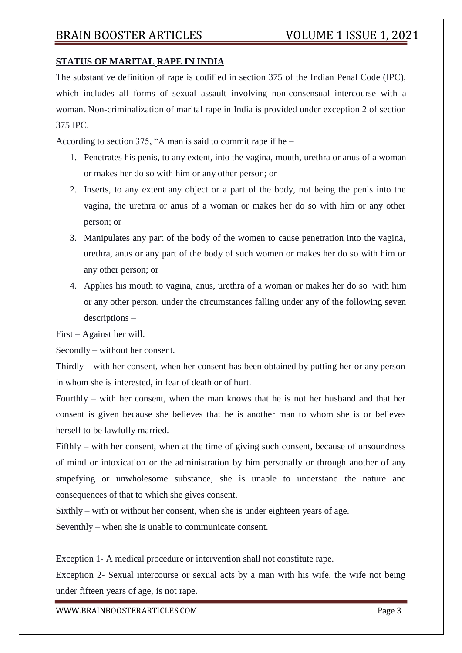### **STATUS OF MARITAL RAPE IN INDIA**

The substantive definition of rape is codified in section 375 of the Indian Penal Code (IPC), which includes all forms of sexual assault involving non-consensual intercourse with a woman. Non-criminalization of marital rape in India is provided under exception 2 of section 375 IPC.

According to section 375, "A man is said to commit rape if he –

- 1. Penetrates his penis, to any extent, into the vagina, mouth, urethra or anus of a woman or makes her do so with him or any other person; or
- 2. Inserts, to any extent any object or a part of the body, not being the penis into the vagina, the urethra or anus of a woman or makes her do so with him or any other person; or
- 3. Manipulates any part of the body of the women to cause penetration into the vagina, urethra, anus or any part of the body of such women or makes her do so with him or any other person; or
- 4. Applies his mouth to vagina, anus, urethra of a woman or makes her do so with him or any other person, under the circumstances falling under any of the following seven descriptions –

First – Against her will.

Secondly – without her consent.

Thirdly – with her consent, when her consent has been obtained by putting her or any person in whom she is interested, in fear of death or of hurt.

Fourthly – with her consent, when the man knows that he is not her husband and that her consent is given because she believes that he is another man to whom she is or believes herself to be lawfully married.

Fifthly – with her consent, when at the time of giving such consent, because of unsoundness of mind or intoxication or the administration by him personally or through another of any stupefying or unwholesome substance, she is unable to understand the nature and consequences of that to which she gives consent.

Sixthly – with or without her consent, when she is under eighteen years of age.

Seventhly – when she is unable to communicate consent.

Exception 1- A medical procedure or intervention shall not constitute rape.

Exception 2- Sexual intercourse or sexual acts by a man with his wife, the wife not being under fifteen years of age, is not rape.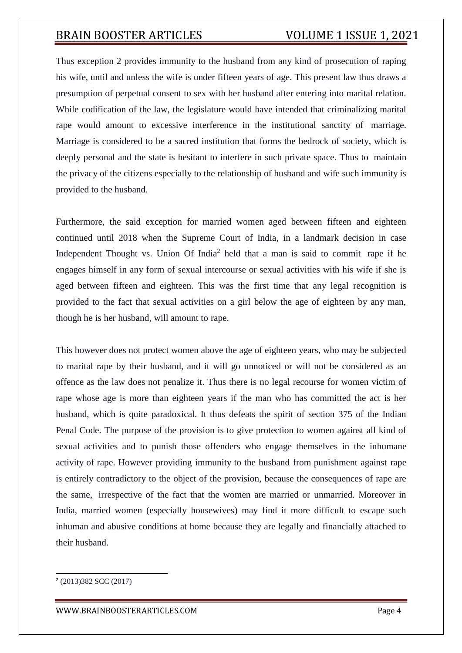Thus exception 2 provides immunity to the husband from any kind of prosecution of raping his wife, until and unless the wife is under fifteen years of age. This present law thus draws a presumption of perpetual consent to sex with her husband after entering into marital relation. While codification of the law, the legislature would have intended that criminalizing marital rape would amount to excessive interference in the institutional sanctity of marriage. Marriage is considered to be a sacred institution that forms the bedrock of society, which is deeply personal and the state is hesitant to interfere in such private space. Thus to maintain the privacy of the citizens especially to the relationship of husband and wife such immunity is provided to the husband.

Furthermore, the said exception for married women aged between fifteen and eighteen continued until 2018 when the Supreme Court of India, in a landmark decision in case Independent Thought vs. Union Of India<sup>2</sup> held that a man is said to commit rape if he engages himself in any form of sexual intercourse or sexual activities with his wife if she is aged between fifteen and eighteen. This was the first time that any legal recognition is provided to the fact that sexual activities on a girl below the age of eighteen by any man, though he is her husband, will amount to rape.

This however does not protect women above the age of eighteen years, who may be subjected to marital rape by their husband, and it will go unnoticed or will not be considered as an offence as the law does not penalize it. Thus there is no legal recourse for women victim of rape whose age is more than eighteen years if the man who has committed the act is her husband, which is quite paradoxical. It thus defeats the spirit of section 375 of the Indian Penal Code. The purpose of the provision is to give protection to women against all kind of sexual activities and to punish those offenders who engage themselves in the inhumane activity of rape. However providing immunity to the husband from punishment against rape is entirely contradictory to the object of the provision, because the consequences of rape are the same, irrespective of the fact that the women are married or unmarried. Moreover in India, married women (especially housewives) may find it more difficult to escape such inhuman and abusive conditions at home because they are legally and financially attached to their husband.

<sup>&</sup>lt;sup>2</sup> (2013)382 SCC (2017)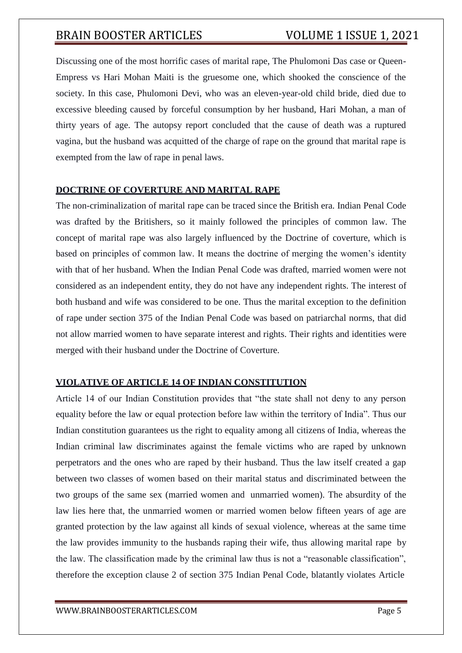Discussing one of the most horrific cases of marital rape, The Phulomoni Das case or Queen-Empress vs Hari Mohan Maiti is the gruesome one, which shooked the conscience of the society. In this case, Phulomoni Devi, who was an eleven-year-old child bride, died due to excessive bleeding caused by forceful consumption by her husband, Hari Mohan, a man of thirty years of age. The autopsy report concluded that the cause of death was a ruptured vagina, but the husband was acquitted of the charge of rape on the ground that marital rape is exempted from the law of rape in penal laws.

### **DOCTRINE OF COVERTURE AND MARITAL RAPE**

The non-criminalization of marital rape can be traced since the British era. Indian Penal Code was drafted by the Britishers, so it mainly followed the principles of common law. The concept of marital rape was also largely influenced by the Doctrine of coverture, which is based on principles of common law. It means the doctrine of merging the women's identity with that of her husband. When the Indian Penal Code was drafted, married women were not considered as an independent entity, they do not have any independent rights. The interest of both husband and wife was considered to be one. Thus the marital exception to the definition of rape under section 375 of the Indian Penal Code was based on patriarchal norms, that did not allow married women to have separate interest and rights. Their rights and identities were merged with their husband under the Doctrine of Coverture.

### **VIOLATIVE OF ARTICLE 14 OF INDIAN CONSTITUTION**

Article 14 of our Indian Constitution provides that "the state shall not deny to any person equality before the law or equal protection before law within the territory of India". Thus our Indian constitution guarantees us the right to equality among all citizens of India, whereas the Indian criminal law discriminates against the female victims who are raped by unknown perpetrators and the ones who are raped by their husband. Thus the law itself created a gap between two classes of women based on their marital status and discriminated between the two groups of the same sex (married women and unmarried women). The absurdity of the law lies here that, the unmarried women or married women below fifteen years of age are granted protection by the law against all kinds of sexual violence, whereas at the same time the law provides immunity to the husbands raping their wife, thus allowing marital rape by the law. The classification made by the criminal law thus is not a "reasonable classification", therefore the exception clause 2 of section 375 Indian Penal Code, blatantly violates Article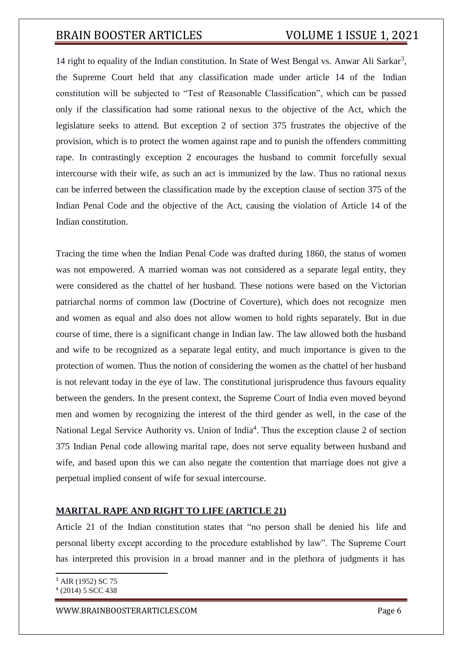14 right to equality of the Indian constitution. In State of West Bengal vs. Anwar Ali Sarkar<sup>3</sup>, the Supreme Court held that any classification made under article 14 of the Indian constitution will be subjected to "Test of Reasonable Classification", which can be passed only if the classification had some rational nexus to the objective of the Act, which the legislature seeks to attend. But exception 2 of section 375 frustrates the objective of the provision, which is to protect the women against rape and to punish the offenders committing rape. In contrastingly exception 2 encourages the husband to commit forcefully sexual intercourse with their wife, as such an act is immunized by the law. Thus no rational nexus can be inferred between the classification made by the exception clause of section 375 of the Indian Penal Code and the objective of the Act, causing the violation of Article 14 of the Indian constitution.

Tracing the time when the Indian Penal Code was drafted during 1860, the status of women was not empowered. A married woman was not considered as a separate legal entity, they were considered as the chattel of her husband. These notions were based on the Victorian patriarchal norms of common law (Doctrine of Coverture), which does not recognize men and women as equal and also does not allow women to hold rights separately. But in due course of time, there is a significant change in Indian law. The law allowed both the husband and wife to be recognized as a separate legal entity, and much importance is given to the protection of women. Thus the notion of considering the women as the chattel of her husband is not relevant today in the eye of law. The constitutional jurisprudence thus favours equality between the genders. In the present context, the Supreme Court of India even moved beyond men and women by recognizing the interest of the third gender as well, in the case of the National Legal Service Authority vs. Union of India<sup>4</sup>. Thus the exception clause 2 of section 375 Indian Penal code allowing marital rape, does not serve equality between husband and wife, and based upon this we can also negate the contention that marriage does not give a perpetual implied consent of wife for sexual intercourse.

### **MARITAL RAPE AND RIGHT TO LIFE (ARTICLE 21)**

Article 21 of the Indian constitution states that "no person shall be denied his life and personal liberty except according to the procedure established by law". The Supreme Court has interpreted this provision in a broad manner and in the plethora of judgments it has

<sup>3</sup> AIR (1952) SC 75 4 (2014) 5 SCC 438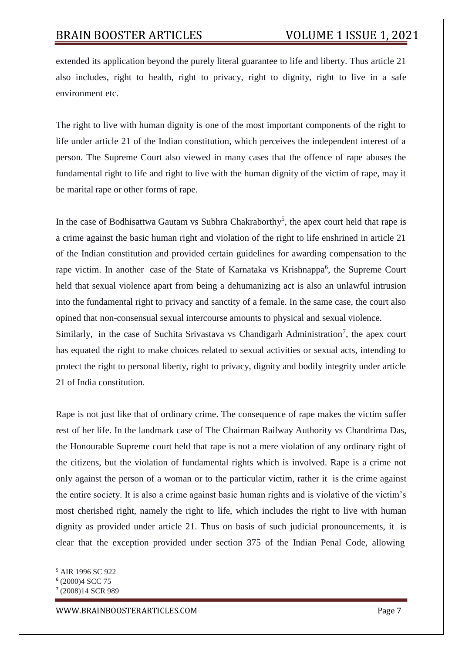extended its application beyond the purely literal guarantee to life and liberty. Thus article 21 also includes, right to health, right to privacy, right to dignity, right to live in a safe environment etc.

The right to live with human dignity is one of the most important components of the right to life under article 21 of the Indian constitution, which perceives the independent interest of a person. The Supreme Court also viewed in many cases that the offence of rape abuses the fundamental right to life and right to live with the human dignity of the victim of rape, may it be marital rape or other forms of rape.

In the case of Bodhisattwa Gautam vs Subhra Chakraborthy<sup>5</sup>, the apex court held that rape is a crime against the basic human right and violation of the right to life enshrined in article 21 of the Indian constitution and provided certain guidelines for awarding compensation to the rape victim. In another case of the State of Karnataka vs Krishnappa<sup>6</sup>, the Supreme Court held that sexual violence apart from being a dehumanizing act is also an unlawful intrusion into the fundamental right to privacy and sanctity of a female. In the same case, the court also opined that non-consensual sexual intercourse amounts to physical and sexual violence.

Similarly, in the case of Suchita Srivastava vs Chandigarh Administration<sup>7</sup>, the apex court has equated the right to make choices related to sexual activities or sexual acts, intending to protect the right to personal liberty, right to privacy, dignity and bodily integrity under article 21 of India constitution.

Rape is not just like that of ordinary crime. The consequence of rape makes the victim suffer rest of her life. In the landmark case of The Chairman Railway Authority vs Chandrima Das, the Honourable Supreme court held that rape is not a mere violation of any ordinary right of the citizens, but the violation of fundamental rights which is involved. Rape is a crime not only against the person of a woman or to the particular victim, rather it is the crime against the entire society. It is also a crime against basic human rights and is violative of the victim's most cherished right, namely the right to life, which includes the right to live with human dignity as provided under article 21. Thus on basis of such judicial pronouncements, it is clear that the exception provided under section 375 of the Indian Penal Code, allowing

<sup>5</sup> AIR 1996 SC 922

<sup>6</sup> (2000)4 SCC 75

<sup>7</sup> (2008)14 SCR 989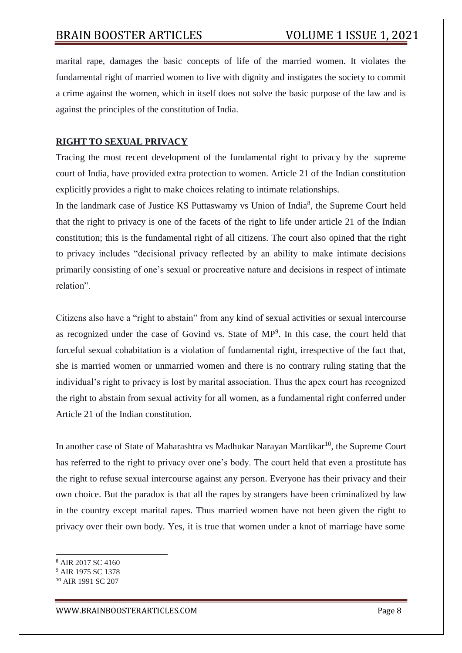marital rape, damages the basic concepts of life of the married women. It violates the fundamental right of married women to live with dignity and instigates the society to commit a crime against the women, which in itself does not solve the basic purpose of the law and is against the principles of the constitution of India.

### **RIGHT TO SEXUAL PRIVACY**

Tracing the most recent development of the fundamental right to privacy by the supreme court of India, have provided extra protection to women. Article 21 of the Indian constitution explicitly provides a right to make choices relating to intimate relationships.

In the landmark case of Justice KS Puttaswamy vs Union of India<sup>8</sup>, the Supreme Court held that the right to privacy is one of the facets of the right to life under article 21 of the Indian constitution; this is the fundamental right of all citizens. The court also opined that the right to privacy includes "decisional privacy reflected by an ability to make intimate decisions primarily consisting of one's sexual or procreative nature and decisions in respect of intimate relation".

Citizens also have a "right to abstain" from any kind of sexual activities or sexual intercourse as recognized under the case of Govind vs. State of  $MP<sup>9</sup>$ . In this case, the court held that forceful sexual cohabitation is a violation of fundamental right, irrespective of the fact that, she is married women or unmarried women and there is no contrary ruling stating that the individual's right to privacy is lost by marital association. Thus the apex court has recognized the right to abstain from sexual activity for all women, as a fundamental right conferred under Article 21 of the Indian constitution.

In another case of State of Maharashtra vs Madhukar Narayan Mardikar<sup>10</sup>, the Supreme Court has referred to the right to privacy over one's body. The court held that even a prostitute has the right to refuse sexual intercourse against any person. Everyone has their privacy and their own choice. But the paradox is that all the rapes by strangers have been criminalized by law in the country except marital rapes. Thus married women have not been given the right to privacy over their own body. Yes, it is true that women under a knot of marriage have some

<sup>8</sup> AIR 2017 SC 4160

<sup>9</sup> AIR 1975 SC 1378

<sup>10</sup> AIR 1991 SC 207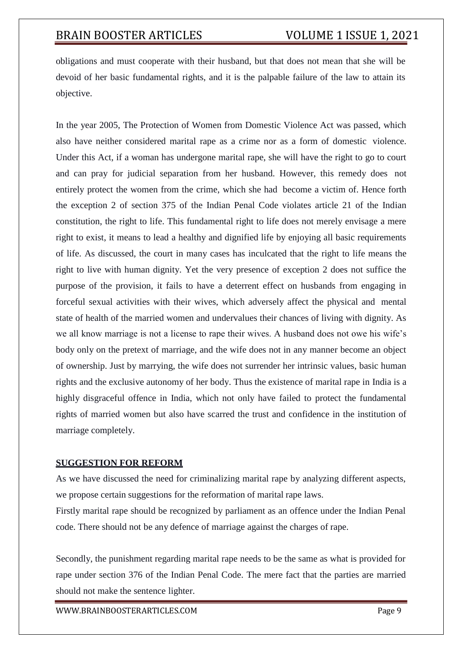obligations and must cooperate with their husband, but that does not mean that she will be devoid of her basic fundamental rights, and it is the palpable failure of the law to attain its objective.

In the year 2005, The Protection of Women from Domestic Violence Act was passed, which also have neither considered marital rape as a crime nor as a form of domestic violence. Under this Act, if a woman has undergone marital rape, she will have the right to go to court and can pray for judicial separation from her husband. However, this remedy does not entirely protect the women from the crime, which she had become a victim of. Hence forth the exception 2 of section 375 of the Indian Penal Code violates article 21 of the Indian constitution, the right to life. This fundamental right to life does not merely envisage a mere right to exist, it means to lead a healthy and dignified life by enjoying all basic requirements of life. As discussed, the court in many cases has inculcated that the right to life means the right to live with human dignity. Yet the very presence of exception 2 does not suffice the purpose of the provision, it fails to have a deterrent effect on husbands from engaging in forceful sexual activities with their wives, which adversely affect the physical and mental state of health of the married women and undervalues their chances of living with dignity. As we all know marriage is not a license to rape their wives. A husband does not owe his wife's body only on the pretext of marriage, and the wife does not in any manner become an object of ownership. Just by marrying, the wife does not surrender her intrinsic values, basic human rights and the exclusive autonomy of her body. Thus the existence of marital rape in India is a highly disgraceful offence in India, which not only have failed to protect the fundamental rights of married women but also have scarred the trust and confidence in the institution of marriage completely.

### **SUGGESTION FOR REFORM**

As we have discussed the need for criminalizing marital rape by analyzing different aspects, we propose certain suggestions for the reformation of marital rape laws.

Firstly marital rape should be recognized by parliament as an offence under the Indian Penal code. There should not be any defence of marriage against the charges of rape.

Secondly, the punishment regarding marital rape needs to be the same as what is provided for rape under section 376 of the Indian Penal Code. The mere fact that the parties are married should not make the sentence lighter.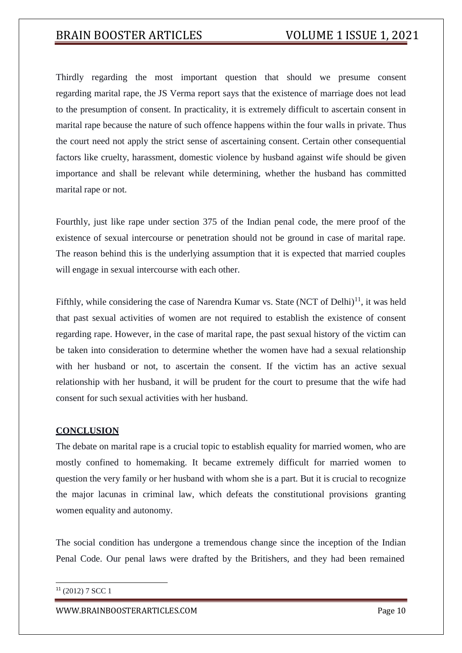Thirdly regarding the most important question that should we presume consent regarding marital rape, the JS Verma report says that the existence of marriage does not lead to the presumption of consent. In practicality, it is extremely difficult to ascertain consent in marital rape because the nature of such offence happens within the four walls in private. Thus the court need not apply the strict sense of ascertaining consent. Certain other consequential factors like cruelty, harassment, domestic violence by husband against wife should be given importance and shall be relevant while determining, whether the husband has committed marital rape or not.

Fourthly, just like rape under section 375 of the Indian penal code, the mere proof of the existence of sexual intercourse or penetration should not be ground in case of marital rape. The reason behind this is the underlying assumption that it is expected that married couples will engage in sexual intercourse with each other.

Fifthly, while considering the case of Narendra Kumar vs. State (NCT of Delhi)<sup>11</sup>, it was held that past sexual activities of women are not required to establish the existence of consent regarding rape. However, in the case of marital rape, the past sexual history of the victim can be taken into consideration to determine whether the women have had a sexual relationship with her husband or not, to ascertain the consent. If the victim has an active sexual relationship with her husband, it will be prudent for the court to presume that the wife had consent for such sexual activities with her husband.

### **CONCLUSION**

The debate on marital rape is a crucial topic to establish equality for married women, who are mostly confined to homemaking. It became extremely difficult for married women to question the very family or her husband with whom she is a part. But it is crucial to recognize the major lacunas in criminal law, which defeats the constitutional provisions granting women equality and autonomy.

The social condition has undergone a tremendous change since the inception of the Indian Penal Code. Our penal laws were drafted by the Britishers, and they had been remained

<sup>11</sup> (2012) 7 SCC 1